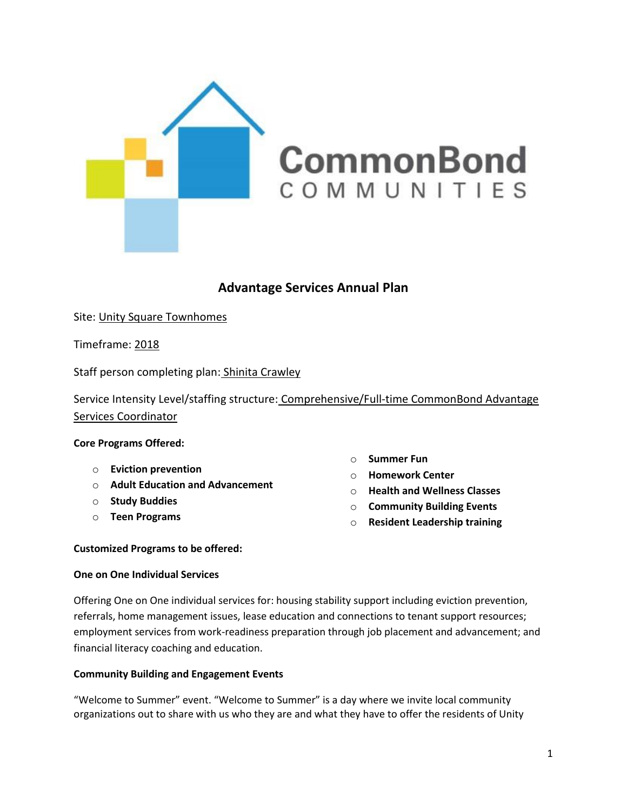

# **Advantage Services Annual Plan**

Site: Unity Square Townhomes

Timeframe: 2018

Staff person completing plan: Shinita Crawley

Service Intensity Level/staffing structure: Comprehensive/Full-time CommonBond Advantage Services Coordinator

**Core Programs Offered:**

- o **Eviction prevention**
- o **Adult Education and Advancement**
- o **Study Buddies**
- o **Teen Programs**
- o **Summer Fun**
- o **Homework Center**
- o **Health and Wellness Classes**
- o **Community Building Events**
- o **Resident Leadership training**

# **Customized Programs to be offered:**

# **One on One Individual Services**

Offering One on One individual services for: housing stability support including eviction prevention, referrals, home management issues, lease education and connections to tenant support resources; employment services from work-readiness preparation through job placement and advancement; and financial literacy coaching and education.

# **Community Building and Engagement Events**

"Welcome to Summer" event. "Welcome to Summer" is a day where we invite local community organizations out to share with us who they are and what they have to offer the residents of Unity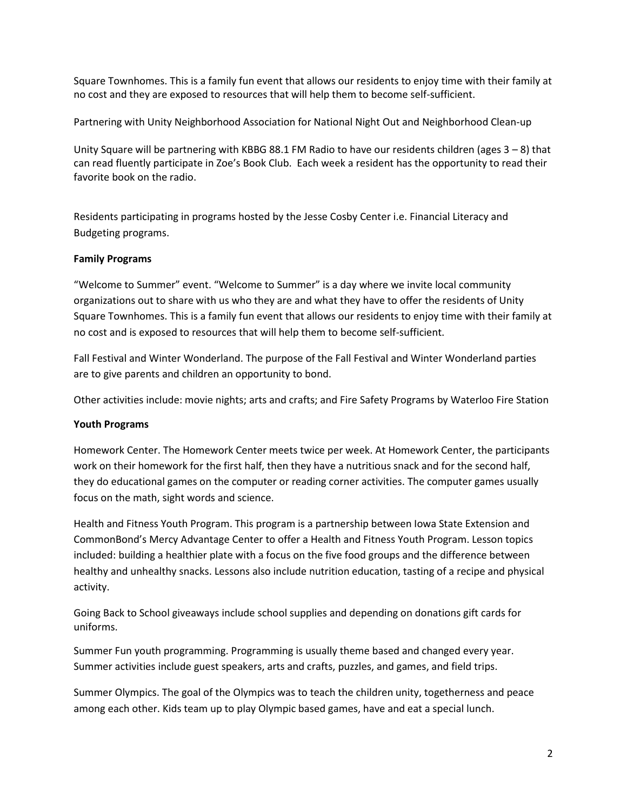Square Townhomes. This is a family fun event that allows our residents to enjoy time with their family at no cost and they are exposed to resources that will help them to become self-sufficient.

Partnering with Unity Neighborhood Association for National Night Out and Neighborhood Clean-up

Unity Square will be partnering with KBBG 88.1 FM Radio to have our residents children (ages 3 – 8) that can read fluently participate in Zoe's Book Club. Each week a resident has the opportunity to read their favorite book on the radio.

Residents participating in programs hosted by the Jesse Cosby Center i.e. Financial Literacy and Budgeting programs.

# **Family Programs**

"Welcome to Summer" event. "Welcome to Summer" is a day where we invite local community organizations out to share with us who they are and what they have to offer the residents of Unity Square Townhomes. This is a family fun event that allows our residents to enjoy time with their family at no cost and is exposed to resources that will help them to become self-sufficient.

Fall Festival and Winter Wonderland. The purpose of the Fall Festival and Winter Wonderland parties are to give parents and children an opportunity to bond.

Other activities include: movie nights; arts and crafts; and Fire Safety Programs by Waterloo Fire Station

# **Youth Programs**

Homework Center. The Homework Center meets twice per week. At Homework Center, the participants work on their homework for the first half, then they have a nutritious snack and for the second half, they do educational games on the computer or reading corner activities. The computer games usually focus on the math, sight words and science.

Health and Fitness Youth Program. This program is a partnership between Iowa State Extension and CommonBond's Mercy Advantage Center to offer a Health and Fitness Youth Program. Lesson topics included: building a healthier plate with a focus on the five food groups and the difference between healthy and unhealthy snacks. Lessons also include nutrition education, tasting of a recipe and physical activity.

Going Back to School giveaways include school supplies and depending on donations gift cards for uniforms.

Summer Fun youth programming. Programming is usually theme based and changed every year. Summer activities include guest speakers, arts and crafts, puzzles, and games, and field trips.

Summer Olympics. The goal of the Olympics was to teach the children unity, togetherness and peace among each other. Kids team up to play Olympic based games, have and eat a special lunch.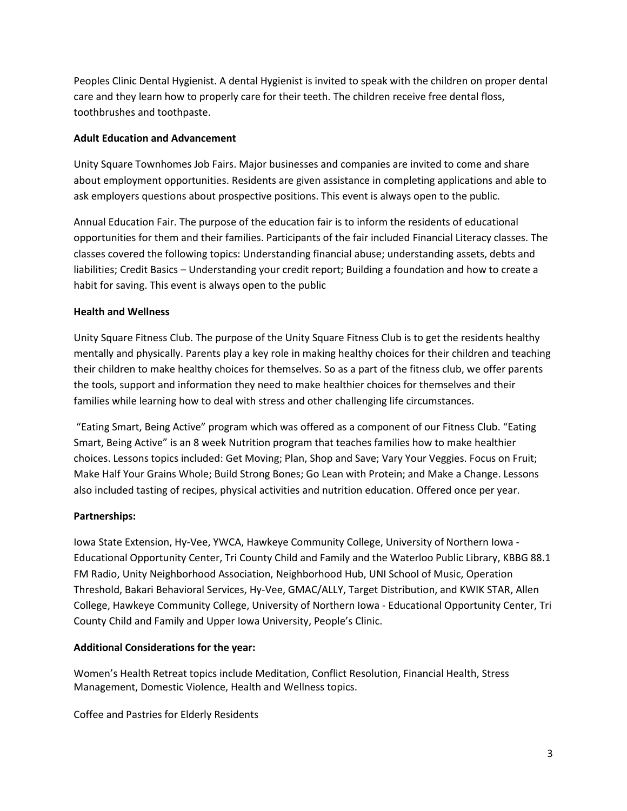Peoples Clinic Dental Hygienist. A dental Hygienist is invited to speak with the children on proper dental care and they learn how to properly care for their teeth. The children receive free dental floss, toothbrushes and toothpaste.

# **Adult Education and Advancement**

Unity Square Townhomes Job Fairs. Major businesses and companies are invited to come and share about employment opportunities. Residents are given assistance in completing applications and able to ask employers questions about prospective positions. This event is always open to the public.

Annual Education Fair. The purpose of the education fair is to inform the residents of educational opportunities for them and their families. Participants of the fair included Financial Literacy classes. The classes covered the following topics: Understanding financial abuse; understanding assets, debts and liabilities; Credit Basics – Understanding your credit report; Building a foundation and how to create a habit for saving. This event is always open to the public

# **Health and Wellness**

Unity Square Fitness Club. The purpose of the Unity Square Fitness Club is to get the residents healthy mentally and physically. Parents play a key role in making healthy choices for their children and teaching their children to make healthy choices for themselves. So as a part of the fitness club, we offer parents the tools, support and information they need to make healthier choices for themselves and their families while learning how to deal with stress and other challenging life circumstances.

"Eating Smart, Being Active" program which was offered as a component of our Fitness Club. "Eating Smart, Being Active" is an 8 week Nutrition program that teaches families how to make healthier choices. Lessons topics included: Get Moving; Plan, Shop and Save; Vary Your Veggies. Focus on Fruit; Make Half Your Grains Whole; Build Strong Bones; Go Lean with Protein; and Make a Change. Lessons also included tasting of recipes, physical activities and nutrition education. Offered once per year.

# **Partnerships:**

Iowa State Extension, Hy-Vee, YWCA, Hawkeye Community College, University of Northern Iowa - Educational Opportunity Center, Tri County Child and Family and the Waterloo Public Library, KBBG 88.1 FM Radio, Unity Neighborhood Association, Neighborhood Hub, UNI School of Music, Operation Threshold, Bakari Behavioral Services, Hy-Vee, GMAC/ALLY, Target Distribution, and KWIK STAR, Allen College, Hawkeye Community College, University of Northern Iowa - Educational Opportunity Center, Tri County Child and Family and Upper Iowa University, People's Clinic.

# **Additional Considerations for the year:**

Women's Health Retreat topics include Meditation, Conflict Resolution, Financial Health, Stress Management, Domestic Violence, Health and Wellness topics.

Coffee and Pastries for Elderly Residents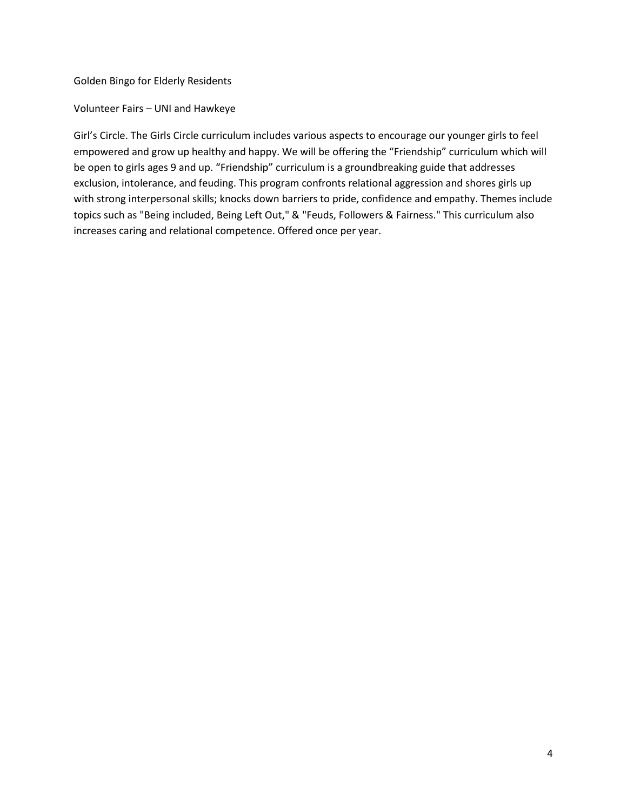Golden Bingo for Elderly Residents

Volunteer Fairs – UNI and Hawkeye

Girl's Circle. The Girls Circle curriculum includes various aspects to encourage our younger girls to feel empowered and grow up healthy and happy. We will be offering the "Friendship" curriculum which will be open to girls ages 9 and up. "Friendship" curriculum is a groundbreaking guide that addresses exclusion, intolerance, and feuding. This program confronts relational aggression and shores girls up with strong interpersonal skills; knocks down barriers to pride, confidence and empathy. Themes include topics such as "Being included, Being Left Out," & "Feuds, Followers & Fairness." This curriculum also increases caring and relational competence. Offered once per year.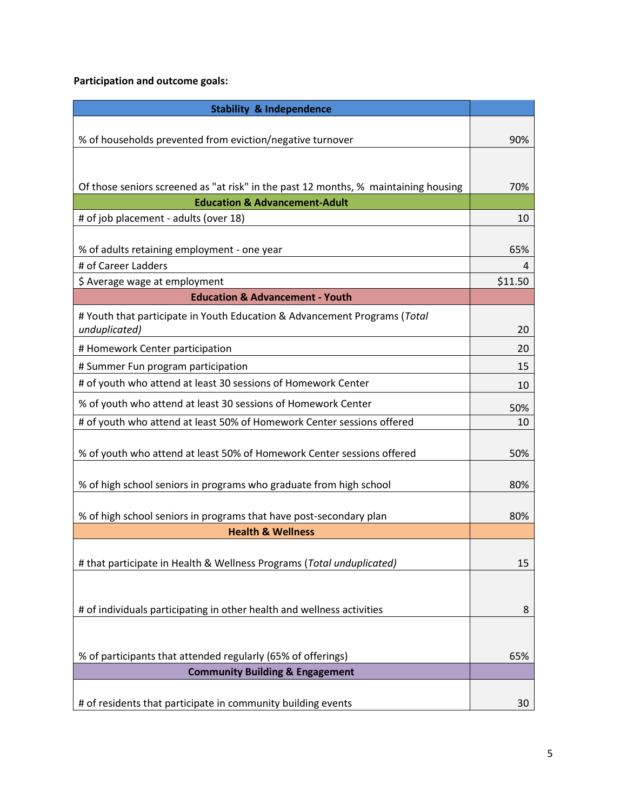# **Participation and outcome goals:**

| <b>Stability &amp; Independence</b>                                                                                             |         |
|---------------------------------------------------------------------------------------------------------------------------------|---------|
|                                                                                                                                 |         |
| % of households prevented from eviction/negative turnover                                                                       | 90%     |
|                                                                                                                                 |         |
|                                                                                                                                 |         |
| Of those seniors screened as "at risk" in the past 12 months, % maintaining housing<br><b>Education &amp; Advancement-Adult</b> | 70%     |
| # of job placement - adults (over 18)                                                                                           | 10      |
|                                                                                                                                 |         |
| % of adults retaining employment - one year                                                                                     | 65%     |
| # of Career Ladders                                                                                                             | 4       |
| \$ Average wage at employment                                                                                                   | \$11.50 |
| <b>Education &amp; Advancement - Youth</b>                                                                                      |         |
| # Youth that participate in Youth Education & Advancement Programs (Total                                                       |         |
| unduplicated)                                                                                                                   | 20      |
| # Homework Center participation                                                                                                 | 20      |
| # Summer Fun program participation                                                                                              | 15      |
| # of youth who attend at least 30 sessions of Homework Center                                                                   | 10      |
| % of youth who attend at least 30 sessions of Homework Center                                                                   | 50%     |
| # of youth who attend at least 50% of Homework Center sessions offered                                                          | 10      |
|                                                                                                                                 |         |
| % of youth who attend at least 50% of Homework Center sessions offered                                                          | 50%     |
|                                                                                                                                 |         |
| % of high school seniors in programs who graduate from high school                                                              | 80%     |
| % of high school seniors in programs that have post-secondary plan                                                              | 80%     |
| <b>Health &amp; Wellness</b>                                                                                                    |         |
|                                                                                                                                 |         |
| # that participate in Health & Wellness Programs (Total unduplicated)                                                           | 15      |
|                                                                                                                                 |         |
|                                                                                                                                 |         |
| # of individuals participating in other health and wellness activities                                                          | 8       |
|                                                                                                                                 |         |
| % of participants that attended regularly (65% of offerings)                                                                    | 65%     |
| <b>Community Building &amp; Engagement</b>                                                                                      |         |
|                                                                                                                                 |         |
| # of residents that participate in community building events                                                                    | 30      |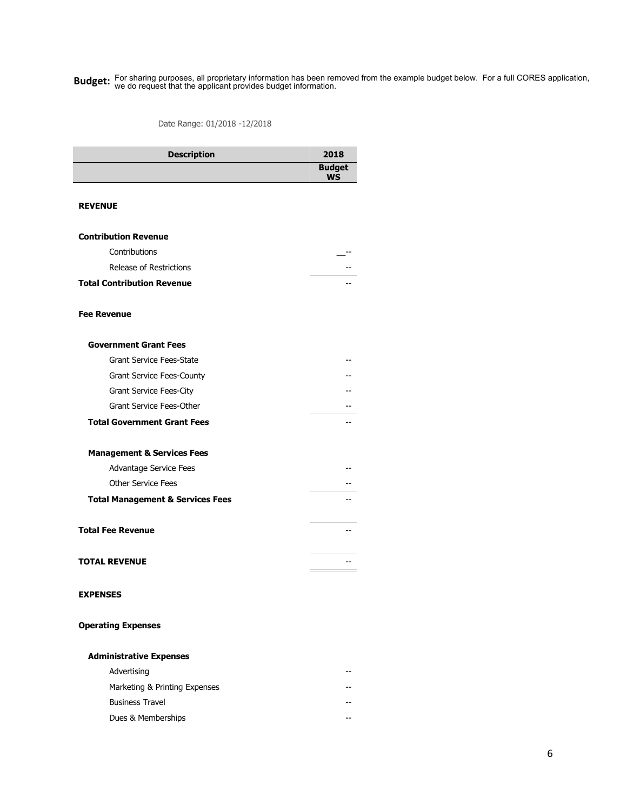**Budget:** For sharing purposes, all proprietary information has been removed from the example budget below. For a full CORES application, **budget** below and the sharing purposes, all proprietary information we do request that the applicant provides budget information.

Date Range: 01/2018 -12/2018

| <b>Description</b>                          | 2018                       |
|---------------------------------------------|----------------------------|
|                                             | <b>Budget</b><br><b>WS</b> |
| <b>REVENUE</b>                              |                            |
|                                             |                            |
| <b>Contribution Revenue</b>                 |                            |
| Contributions                               |                            |
| Release of Restrictions                     |                            |
| <b>Total Contribution Revenue</b>           |                            |
| <b>Fee Revenue</b>                          |                            |
| <b>Government Grant Fees</b>                |                            |
| <b>Grant Service Fees-State</b>             |                            |
| <b>Grant Service Fees-County</b>            |                            |
| Grant Service Fees-City                     |                            |
| Grant Service Fees-Other                    |                            |
| <b>Total Government Grant Fees</b>          |                            |
| <b>Management &amp; Services Fees</b>       |                            |
| Advantage Service Fees                      |                            |
| <b>Other Service Fees</b>                   |                            |
| <b>Total Management &amp; Services Fees</b> |                            |
| <b>Total Fee Revenue</b>                    |                            |
| <b>TOTAL REVENUE</b>                        |                            |
|                                             |                            |
| <b>EXPENSES</b>                             |                            |
| <b>Operating Expenses</b>                   |                            |
| <b>Administrative Expenses</b>              |                            |
| Advertising                                 |                            |
| Marketing & Printing Expenses               |                            |
| <b>Business Travel</b>                      |                            |
| Dues & Memberships                          |                            |
|                                             |                            |